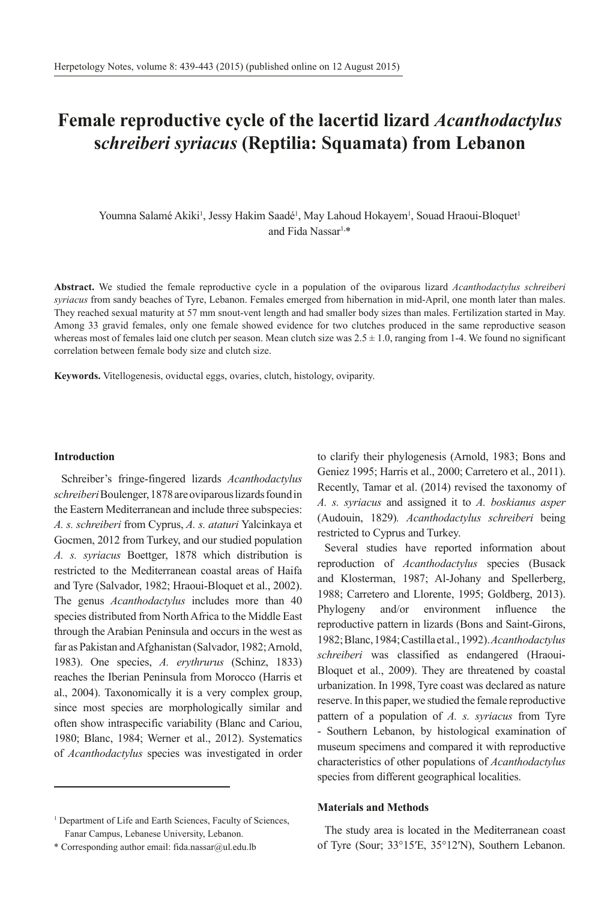# **Female reproductive cycle of the lacertid lizard** *Acanthodactylus* **s***chreiberi syriacus* **(Reptilia: Squamata) from Lebanon**

Youmna Salamé Akiki<sup>1</sup>, Jessy Hakim Saadé<sup>1</sup>, May Lahoud Hokayem<sup>1</sup>, Souad Hraoui-Bloquet<sup>1</sup> and Fida Nassar1,\*

**Abstract.** We studied the female reproductive cycle in a population of the oviparous lizard *Acanthodactylus schreiberi syriacus* from sandy beaches of Tyre, Lebanon. Females emerged from hibernation in mid-April, one month later than males. They reached sexual maturity at 57 mm snout-vent length and had smaller body sizes than males. Fertilization started in May. Among 33 gravid females, only one female showed evidence for two clutches produced in the same reproductive season whereas most of females laid one clutch per season. Mean clutch size was  $2.5 \pm 1.0$ , ranging from 1-4. We found no significant correlation between female body size and clutch size.

**Keywords.** Vitellogenesis, oviductal eggs, ovaries, clutch, histology, oviparity.

#### **Introduction**

Schreiber's fringe-fingered lizards *Acanthodactylus schreiberi* Boulenger, 1878 are oviparous lizards found in the Eastern Mediterranean and include three subspecies: *A. s. schreiberi* from Cyprus, *A. s. ataturi* Yalcinkaya et Gocmen, 2012 from Turkey, and our studied population *A. s. syriacus* Boettger, 1878 which distribution is restricted to the Mediterranean coastal areas of Haifa and Tyre (Salvador, 1982; Hraoui-Bloquet et al., 2002). The genus *Acanthodactylus* includes more than 40 species distributed from North Africa to the Middle East through the Arabian Peninsula and occurs in the west as far as Pakistan and Afghanistan (Salvador, 1982; Arnold, 1983). One species, *A. erythrurus* (Schinz, 1833) reaches the Iberian Peninsula from Morocco (Harris et al., 2004). Taxonomically it is a very complex group, since most species are morphologically similar and often show intraspecific variability (Blanc and Cariou, 1980; Blanc, 1984; Werner et al., 2012). Systematics of *Acanthodactylus* species was investigated in order

\* Corresponding author email: fida.nassar@ul.edu.lb

to clarify their phylogenesis (Arnold, 1983; Bons and Geniez 1995; Harris et al., 2000; Carretero et al., 2011). Recently, Tamar et al. (2014) revised the taxonomy of *A. s. syriacus* and assigned it to *A. boskianus asper* (Audouin, 1829)*. Acanthodactylus schreiberi* being restricted to Cyprus and Turkey.

Several studies have reported information about reproduction of *Acanthodactylus* species (Busack and Klosterman, 1987; Al-Johany and Spellerberg, 1988; Carretero and Llorente, 1995; Goldberg, 2013). Phylogeny and/or environment influence the reproductive pattern in lizards (Bons and Saint-Girons, 1982; Blanc, 1984; Castilla et al., 1992). *Acanthodactylus schreiberi* was classified as endangered (Hraoui-Bloquet et al., 2009). They are threatened by coastal urbanization. In 1998, Tyre coast was declared as nature reserve. In this paper, we studied the female reproductive pattern of a population of *A. s. syriacus* from Tyre - Southern Lebanon, by histological examination of museum specimens and compared it with reproductive characteristics of other populations of *Acanthodactylus* species from different geographical localities.

## **Materials and Methods**

The study area is located in the Mediterranean coast of Tyre (Sour; 33°15′E, 35°12′N), Southern Lebanon.

<sup>&</sup>lt;sup>1</sup> Department of Life and Earth Sciences, Faculty of Sciences, Fanar Campus, Lebanese University, Lebanon.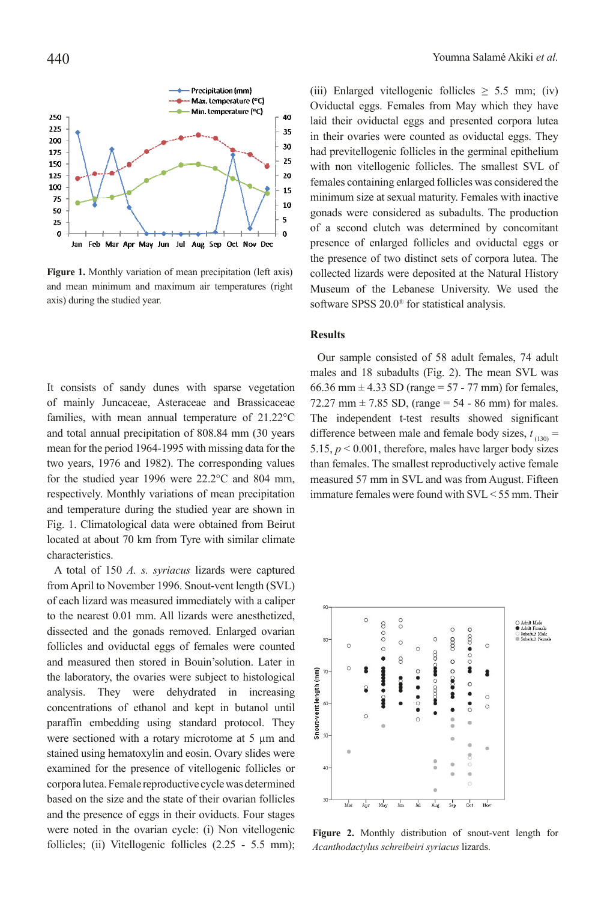

**Figure 1.** Monthly variation of mean precipitation (left axis) and mean minimum and maximum air temperatures (right axis) during the studied year.

It consists of sandy dunes with sparse vegetation of mainly Juncaceae, Asteraceae and Brassicaceae families, with mean annual temperature of 21.22°C and total annual precipitation of 808.84 mm (30 years mean for the period 1964-1995 with missing data for the two years, 1976 and 1982). The corresponding values for the studied year 1996 were 22.2°C and 804 mm, respectively. Monthly variations of mean precipitation and temperature during the studied year are shown in Fig. 1. Climatological data were obtained from Beirut located at about 70 km from Tyre with similar climate characteristics.

A total of 150 *A. s. syriacus* lizards were captured from April to November 1996. Snout-vent length (SVL) of each lizard was measured immediately with a caliper to the nearest 0.01 mm. All lizards were anesthetized, dissected and the gonads removed. Enlarged ovarian follicles and oviductal eggs of females were counted and measured then stored in Bouin'solution. Later in the laboratory, the ovaries were subject to histological analysis. They were dehydrated in increasing concentrations of ethanol and kept in butanol until paraffin embedding using standard protocol. They were sectioned with a rotary microtome at 5  $\mu$ m and stained using hematoxylin and eosin. Ovary slides were examined for the presence of vitellogenic follicles or corpora lutea. Female reproductive cycle was determined based on the size and the state of their ovarian follicles and the presence of eggs in their oviducts. Four stages were noted in the ovarian cycle: (i) Non vitellogenic follicles; (ii) Vitellogenic follicles (2.25 - 5.5 mm); (iii) Enlarged vitellogenic follicles  $\geq$  5.5 mm; (iv) Oviductal eggs. Females from May which they have laid their oviductal eggs and presented corpora lutea in their ovaries were counted as oviductal eggs. They had previtellogenic follicles in the germinal epithelium with non vitellogenic follicles. The smallest SVL of females containing enlarged follicles was considered the minimum size at sexual maturity. Females with inactive gonads were considered as subadults. The production of a second clutch was determined by concomitant presence of enlarged follicles and oviductal eggs or the presence of two distinct sets of corpora lutea. The collected lizards were deposited at the Natural History Museum of the Lebanese University. We used the software SPSS 20.0® for statistical analysis.

## **Results**

Our sample consisted of 58 adult females, 74 adult males and 18 subadults (Fig. 2). The mean SVL was 66.36 mm  $\pm$  4.33 SD (range = 57 - 77 mm) for females, 72.27 mm  $\pm$  7.85 SD, (range = 54 - 86 mm) for males. The independent t-test results showed significant difference between male and female body sizes,  $t_{(130)} =$ 5.15,  $p < 0.001$ , therefore, males have larger body sizes than females. The smallest reproductively active female measured 57 mm in SVL and was from August. Fifteen immature females were found with SVL < 55 mm. Their



**Figure 2.** Monthly distribution of snout-vent length for *Acanthodactylus schreibeiri syriacus* lizards.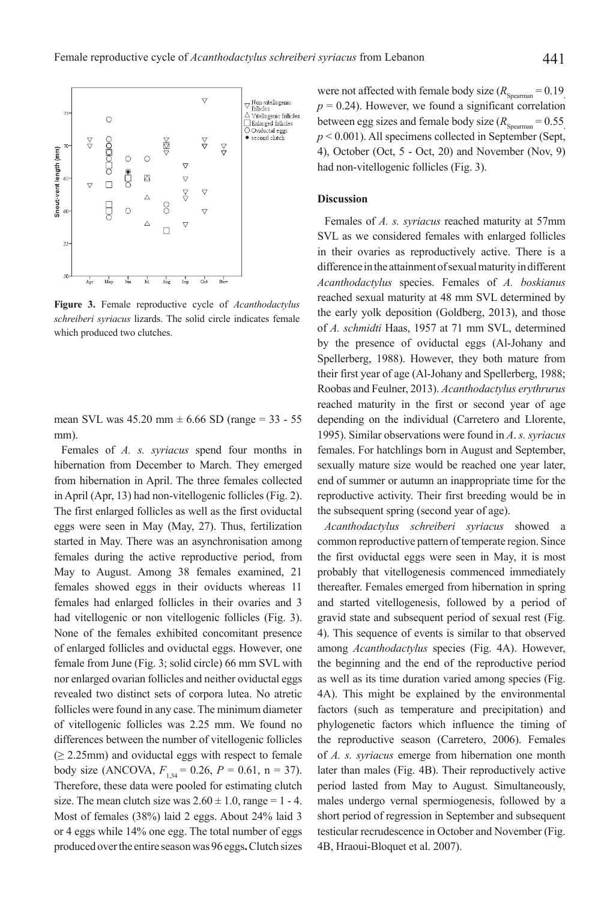

**Figure 3.** Female reproductive cycle of *Acanthodactylus schreiberi syriacus* lizards. The solid circle indicates female which produced two clutches.

mean SVL was  $45.20 \text{ mm} \pm 6.66 \text{ SD}$  (range = 33 - 55 mm).

Females of *A. s. syriacus* spend four months in hibernation from December to March. They emerged from hibernation in April. The three females collected in April (Apr, 13) had non-vitellogenic follicles (Fig. 2). The first enlarged follicles as well as the first oviductal eggs were seen in May (May, 27). Thus, fertilization started in May. There was an asynchronisation among females during the active reproductive period, from May to August. Among 38 females examined, 21 females showed eggs in their oviducts whereas 11 females had enlarged follicles in their ovaries and 3 had vitellogenic or non vitellogenic follicles (Fig. 3). None of the females exhibited concomitant presence of enlarged follicles and oviductal eggs. However, one female from June (Fig. 3; solid circle) 66 mm SVL with nor enlarged ovarian follicles and neither oviductal eggs revealed two distinct sets of corpora lutea. No atretic follicles were found in any case. The minimum diameter of vitellogenic follicles was 2.25 mm. We found no differences between the number of vitellogenic follicles  $(≥ 2.25mm)$  and oviductal eggs with respect to female body size (ANCOVA,  $F_{1,34} = 0.26$ ,  $P = 0.61$ ,  $n = 37$ ). Therefore, these data were pooled for estimating clutch size. The mean clutch size was  $2.60 \pm 1.0$ , range = 1 - 4. Most of females (38%) laid 2 eggs. About 24% laid 3 or 4 eggs while 14% one egg. The total number of eggs produced over the entire season was 96 eggs**.** Clutch sizes

were not affected with female body size  $(R_{Spearman} = 0.19)$  $p = 0.24$ ). However, we found a significant correlation between egg sizes and female body size  $(R_{Spearman} = 0.55)$ *p* < 0.001). All specimens collected in September (Sept, 4), October (Oct, 5 - Oct, 20) and November (Nov, 9) had non-vitellogenic follicles (Fig. 3).

## **Discussion**

Females of *A. s. syriacus* reached maturity at 57mm SVL as we considered females with enlarged follicles in their ovaries as reproductively active. There is a difference in the attainment of sexual maturity in different *Acanthodactylus* species. Females of *A. boskianus*  reached sexual maturity at 48 mm SVL determined by the early yolk deposition (Goldberg, 2013), and those of *A. schmidti* Haas, 1957 at 71 mm SVL, determined by the presence of oviductal eggs (Al-Johany and Spellerberg, 1988). However, they both mature from their first year of age (Al-Johany and Spellerberg, 1988; Roobas and Feulner, 2013). *Acanthodactylus erythrurus*  reached maturity in the first or second year of age depending on the individual (Carretero and Llorente, 1995). Similar observations were found in *A*. *s. syriacus*  females. For hatchlings born in August and September, sexually mature size would be reached one year later, end of summer or autumn an inappropriate time for the reproductive activity. Their first breeding would be in the subsequent spring (second year of age).

*Acanthodactylus schreiberi syriacus* showed a common reproductive pattern of temperate region. Since the first oviductal eggs were seen in May, it is most probably that vitellogenesis commenced immediately thereafter. Females emerged from hibernation in spring and started vitellogenesis, followed by a period of gravid state and subsequent period of sexual rest (Fig. 4). This sequence of events is similar to that observed among *Acanthodactylus* species (Fig. 4A). However, the beginning and the end of the reproductive period as well as its time duration varied among species (Fig. 4A). This might be explained by the environmental factors (such as temperature and precipitation) and phylogenetic factors which influence the timing of the reproductive season (Carretero, 2006). Females of *A. s. syriacus* emerge from hibernation one month later than males (Fig. 4B). Their reproductively active period lasted from May to August. Simultaneously, males undergo vernal spermiogenesis, followed by a short period of regression in September and subsequent testicular recrudescence in October and November (Fig. 4B, Hraoui-Bloquet et al. 2007).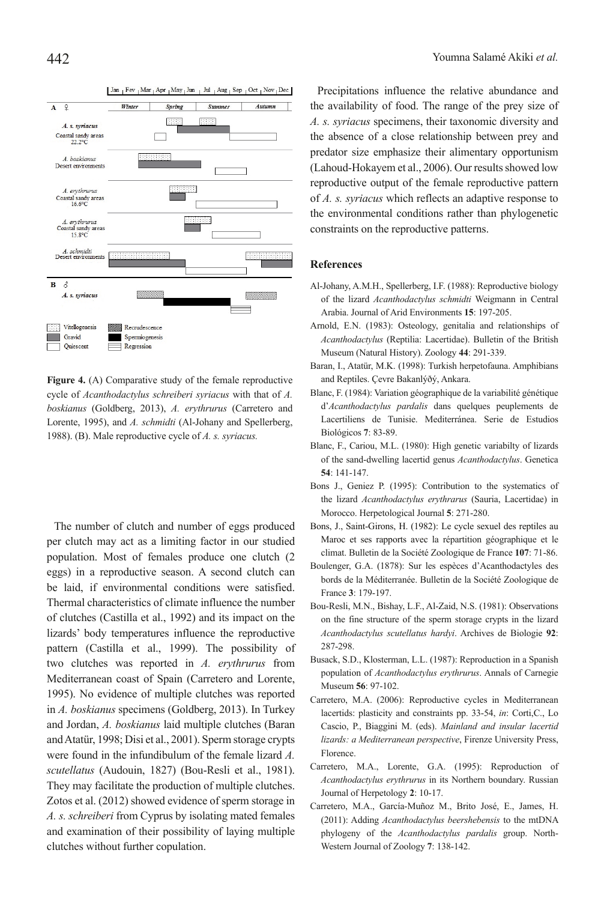

**Figure 4.** (A) Comparative study of the female reproductive cycle of *Acanthodactylus schreiberi syriacus* with that of *A. boskianus* (Goldberg, 2013), *A. erythrurus* (Carretero and Lorente, 1995), and *A. schmidti* (Al-Johany and Spellerberg, 1988). (B). Male reproductive cycle of *A. s. syriacus.*

The number of clutch and number of eggs produced per clutch may act as a limiting factor in our studied population. Most of females produce one clutch (2 eggs) in a reproductive season. A second clutch can be laid, if environmental conditions were satisfied. Thermal characteristics of climate influence the number of clutches (Castilla et al., 1992) and its impact on the lizards' body temperatures influence the reproductive pattern (Castilla et al., 1999). The possibility of two clutches was reported in *A. erythrurus* from Mediterranean coast of Spain (Carretero and Lorente, 1995). No evidence of multiple clutches was reported in *A. boskianus* specimens (Goldberg, 2013). In Turkey and Jordan, *A. boskianus* laid multiple clutches (Baran and Atatür, 1998; Disi et al., 2001). Sperm storage crypts were found in the infundibulum of the female lizard *A. scutellatus* (Audouin, 1827) (Bou-Resli et al., 1981). They may facilitate the production of multiple clutches. Zotos et al. (2012) showed evidence of sperm storage in *A. s. schreiberi* from Cyprus by isolating mated females and examination of their possibility of laying multiple clutches without further copulation.

Precipitations influence the relative abundance and the availability of food. The range of the prey size of *A. s. syriacus* specimens, their taxonomic diversity and the absence of a close relationship between prey and predator size emphasize their alimentary opportunism (Lahoud-Hokayem et al., 2006). Our results showed low reproductive output of the female reproductive pattern of *A. s. syriacus* which reflects an adaptive response to the environmental conditions rather than phylogenetic constraints on the reproductive patterns.

## **References**

- Al-Johany, A.M.H., Spellerberg, I.F. (1988): Reproductive biology of the lizard *Acanthodactylus schmidti* Weigmann in Central Arabia. Journal of Arid Environments **15**: 197-205.
- Arnold, E.N. (1983): Osteology, genitalia and relationships of *Acanthodactylus* (Reptilia: Lacertidae). Bulletin of the British Museum (Natural History). Zoology **44**: 291-339.
- Baran, I., Atatür, M.K. (1998): Turkish herpetofauna. Amphibians and Reptiles. Çevre Bakanlýðý, Ankara.
- Blanc, F. (1984): Variation géographique de la variabilité génétique d'*Acanthodactylus pardalis* dans quelques peuplements de Lacertiliens de Tunisie. Mediterránea. Serie de Estudios Biológicos **7**: 83-89.
- Blanc, F., Cariou, M.L. (1980): High genetic variabilty of lizards of the sand-dwelling lacertid genus *Acanthodactylus*. Genetica **54**: 141-147.
- Bons J., Geniez P. (1995): Contribution to the systematics of the lizard *Acanthodactylus erythrarus* (Sauria, Lacertidae) in Morocco. Herpetological Journal **5**: 271-280.
- Bons, J., Saint-Girons, H. (1982): Le cycle sexuel des reptiles au Maroc et ses rapports avec la répartition géographique et le climat. Bulletin de la Société Zoologique de France **107**: 71-86.
- Boulenger, G.A. (1878): Sur les espèces d'Acanthodactyles des bords de la Méditerranée. Bulletin de la Société Zoologique de France **3**: 179-197.
- Bou-Resli, M.N., Bishay, L.F., Al-Zaid, N.S. (1981): Observations on the fine structure of the sperm storage crypts in the lizard *Acanthodactylus scutellatus hardyi*. Archives de Biologie **92**: 287-298.
- Busack, S.D., Klosterman, L.L. (1987): Reproduction in a Spanish population of *Acanthodactylus erythrurus*. Annals of Carnegie Museum **56**: 97-102.
- Carretero, M.A. (2006): Reproductive cycles in Mediterranean lacertids: plasticity and constraints pp. 33-54, *in*: Corti,C., Lo Cascio, P., Biaggini M. (eds). *Mainland and insular lacertid lizards: a Mediterranean perspective*, Firenze University Press, Florence.
- Carretero, M.A., Lorente, G.A. (1995): Reproduction of *Acanthodactylus erythrurus* in its Northern boundary. Russian Journal of Herpetology **2**: 10-17.
- Carretero, M.A., García-Muñoz M., Brito José, E., James, H. (2011): Adding *Acanthodactylus beershebensis* to the mtDNA phylogeny of the *Acanthodactylus pardalis* group. North-Western Journal of Zoology **7**: 138-142.